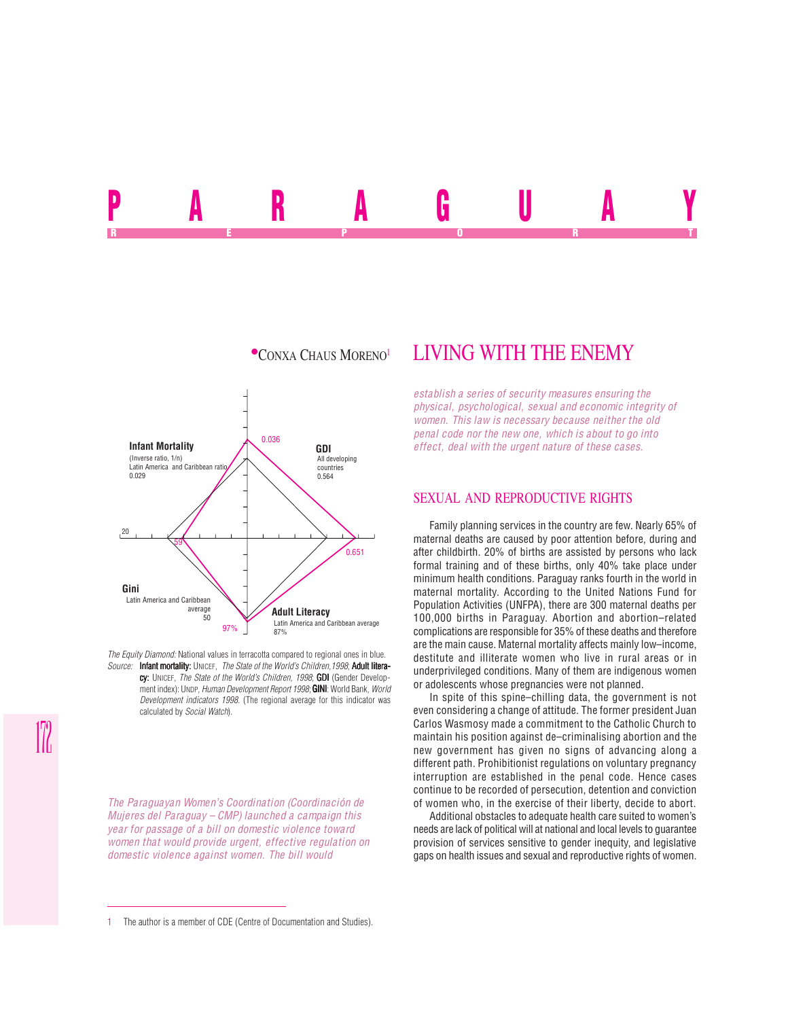<u>ran au ua</u> REPORT OF STATE REPORT OF STATE REPORT OF STATE REPORT OF STATE REPORT OF STATE REPORT OF STATE REPORT OF STATE REPORT OF STATE REPORT OF STATE REPORT OF STATE REPORT OF STATE REPORT OF STATE REPORT OF STATE REPORT OF STAT



*The Equity Diamond:* National values in terracotta compared to regional ones in blue. *Source:* Infant mortality: UNICEF, *The State of the World's Children,1998*; Adult litera-

cy: UNICEF, *The State of the World's Children, 1998*; GDI (Gender Development index): UNDP, *Human Development Report 1998*; **GINI**: World Bank, *World Development indicators 1998*. (The regional average for this indicator was calculated by *Social Watch*).

*The Paraguayan Women's Coordination (Coordinación de Mujeres del Paraguay – CMP) launched a campaign this year for passage of a bill on domestic violence toward women that would provide urgent, effective regulation on domestic violence against women. The bill would*

# $\bullet$ CONXA CHAUS MORENO<sup>1</sup> LIVING WITH THE ENEMY

*establish a series of security measures ensuring the physical, psychological, sexual and economic integrity of women. This law is necessary because neither the old penal code nor the new one, which is about to go into effect, deal with the urgent nature of these cases.*

### SEXUAL AND REPRODUCTIVE RIGHTS

Family planning services in the country are few. Nearly 65% of maternal deaths are caused by poor attention before, during and after childbirth. 20% of births are assisted by persons who lack formal training and of these births, only 40% take place under minimum health conditions. Paraguay ranks fourth in the world in maternal mortality. According to the United Nations Fund for Population Activities (UNFPA), there are 300 maternal deaths per 100,000 births in Paraguay. Abortion and abortion–related complications are responsible for 35% of these deaths and therefore are the main cause. Maternal mortality affects mainly low–income, destitute and illiterate women who live in rural areas or in underprivileged conditions. Many of them are indigenous women or adolescents whose pregnancies were not planned.

In spite of this spine–chilling data, the government is not even considering a change of attitude. The former president Juan Carlos Wasmosy made a commitment to the Catholic Church to maintain his position against de–criminalising abortion and the new government has given no signs of advancing along a different path. Prohibitionist regulations on voluntary pregnancy interruption are established in the penal code. Hence cases continue to be recorded of persecution, detention and conviction of women who, in the exercise of their liberty, decide to abort.

Additional obstacles to adequate health care suited to women's needs are lack of political will at national and local levels to guarantee provision of services sensitive to gender inequity, and legislative gaps on health issues and sexual and reproductive rights of women.

<sup>1</sup> The author is a member of CDE (Centre of Documentation and Studies).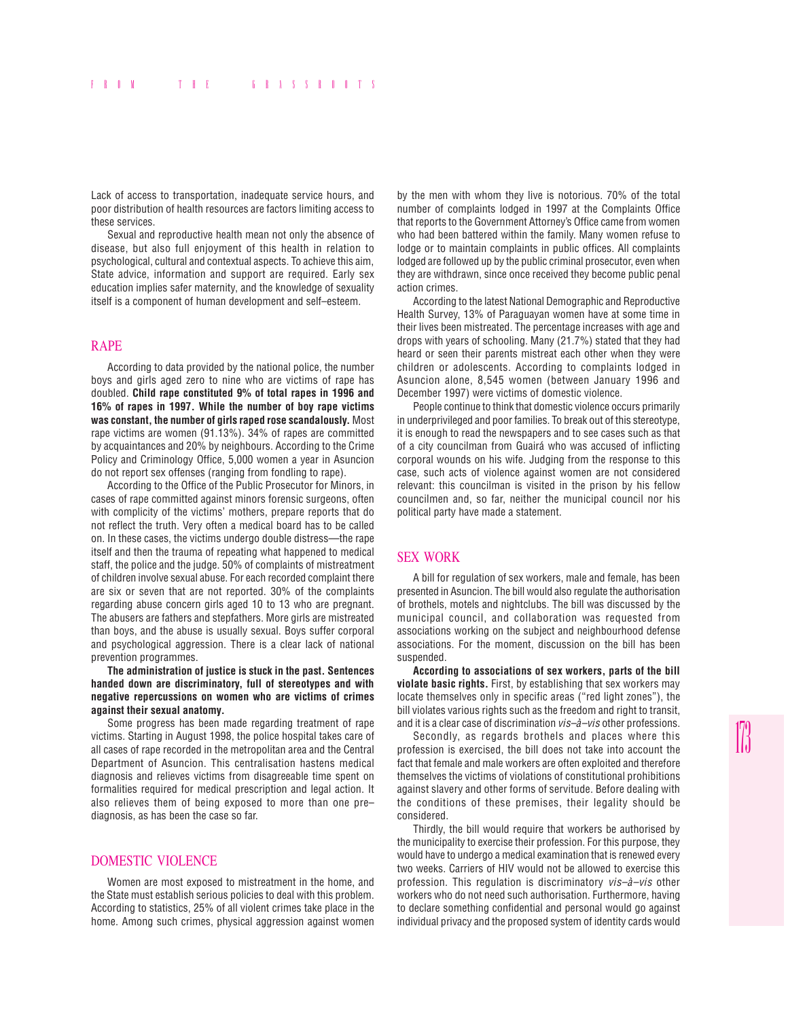Lack of access to transportation, inadequate service hours, and poor distribution of health resources are factors limiting access to these services.

Sexual and reproductive health mean not only the absence of disease, but also full enjoyment of this health in relation to psychological, cultural and contextual aspects. To achieve this aim, State advice, information and support are required. Early sex education implies safer maternity, and the knowledge of sexuality itself is a component of human development and self–esteem.

#### RAPE

According to data provided by the national police, the number boys and girls aged zero to nine who are victims of rape has doubled. **Child rape constituted 9% of total rapes in 1996 and 16% of rapes in 1997. While the number of boy rape victims was constant, the number of girls raped rose scandalously.** Most rape victims are women (91.13%). 34% of rapes are committed by acquaintances and 20% by neighbours. According to the Crime Policy and Criminology Office, 5,000 women a year in Asuncion do not report sex offenses (ranging from fondling to rape).

According to the Office of the Public Prosecutor for Minors, in cases of rape committed against minors forensic surgeons, often with complicity of the victims' mothers, prepare reports that do not reflect the truth. Very often a medical board has to be called on. In these cases, the victims undergo double distress—the rape itself and then the trauma of repeating what happened to medical staff, the police and the judge. 50% of complaints of mistreatment of children involve sexual abuse. For each recorded complaint there are six or seven that are not reported. 30% of the complaints regarding abuse concern girls aged 10 to 13 who are pregnant. The abusers are fathers and stepfathers. More girls are mistreated than boys, and the abuse is usually sexual. Boys suffer corporal and psychological aggression. There is a clear lack of national prevention programmes.

**The administration of justice is stuck in the past. Sentences handed down are discriminatory, full of stereotypes and with negative repercussions on women who are victims of crimes against their sexual anatomy.**

Some progress has been made regarding treatment of rape victims. Starting in August 1998, the police hospital takes care of all cases of rape recorded in the metropolitan area and the Central Department of Asuncion. This centralisation hastens medical diagnosis and relieves victims from disagreeable time spent on formalities required for medical prescription and legal action. It also relieves them of being exposed to more than one pre– diagnosis, as has been the case so far.

#### DOMESTIC VIOLENCE

Women are most exposed to mistreatment in the home, and the State must establish serious policies to deal with this problem. According to statistics, 25% of all violent crimes take place in the home. Among such crimes, physical aggression against women by the men with whom they live is notorious. 70% of the total number of complaints lodged in 1997 at the Complaints Office that reports to the Government Attorney's Office came from women who had been battered within the family. Many women refuse to lodge or to maintain complaints in public offices. All complaints lodged are followed up by the public criminal prosecutor, even when they are withdrawn, since once received they become public penal action crimes.

According to the latest National Demographic and Reproductive Health Survey, 13% of Paraguayan women have at some time in their lives been mistreated. The percentage increases with age and drops with years of schooling. Many (21.7%) stated that they had heard or seen their parents mistreat each other when they were children or adolescents. According to complaints lodged in Asuncion alone, 8,545 women (between January 1996 and December 1997) were victims of domestic violence.

People continue to think that domestic violence occurs primarily in underprivileged and poor families. To break out of this stereotype, it is enough to read the newspapers and to see cases such as that of a city councilman from Guairá who was accused of inflicting corporal wounds on his wife. Judging from the response to this case, such acts of violence against women are not considered relevant: this councilman is visited in the prison by his fellow councilmen and, so far, neither the municipal council nor his political party have made a statement.

#### SEX WORK

A bill for regulation of sex workers, male and female, has been presented in Asuncion. The bill would also regulate the authorisation of brothels, motels and nightclubs. The bill was discussed by the municipal council, and collaboration was requested from associations working on the subject and neighbourhood defense associations. For the moment, discussion on the bill has been suspended.

**According to associations of sex workers, parts of the bill violate basic rights.** First, by establishing that sex workers may locate themselves only in specific areas ("red light zones"), the bill violates various rights such as the freedom and right to transit. and it is a clear case of discrimination *vis–à–vis* other professions.

Secondly, as regards brothels and places where this profession is exercised, the bill does not take into account the fact that female and male workers are often exploited and therefore themselves the victims of violations of constitutional prohibitions against slavery and other forms of servitude. Before dealing with the conditions of these premises, their legality should be considered.

Thirdly, the bill would require that workers be authorised by the municipality to exercise their profession. For this purpose, they would have to undergo a medical examination that is renewed every two weeks. Carriers of HIV would not be allowed to exercise this profession. This regulation is discriminatory *vis–à–vis* other workers who do not need such authorisation. Furthermore, having to declare something confidential and personal would go against individual privacy and the proposed system of identity cards would